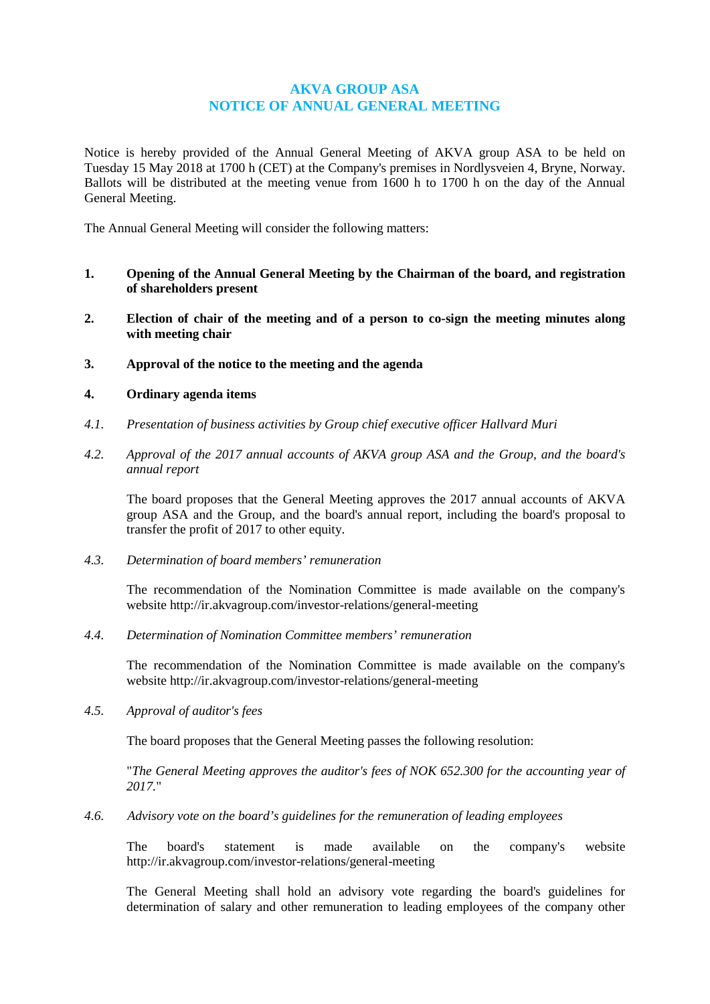# **AKVA GROUP ASA NOTICE OF ANNUAL GENERAL MEETING**

Notice is hereby provided of the Annual General Meeting of AKVA group ASA to be held on Tuesday 15 May 2018 at 1700 h (CET) at the Company's premises in Nordlysveien 4, Bryne, Norway. Ballots will be distributed at the meeting venue from 1600 h to 1700 h on the day of the Annual General Meeting.

The Annual General Meeting will consider the following matters:

- **1. Opening of the Annual General Meeting by the Chairman of the board, and registration of shareholders present**
- **2. Election of chair of the meeting and of a person to co-sign the meeting minutes along with meeting chair**
- **3. Approval of the notice to the meeting and the agenda**

# **4. Ordinary agenda items**

- *4.1. Presentation of business activities by Group chief executive officer Hallvard Muri*
- *4.2. Approval of the 2017 annual accounts of AKVA group ASA and the Group, and the board's annual report*

The board proposes that the General Meeting approves the 2017 annual accounts of AKVA group ASA and the Group, and the board's annual report, including the board's proposal to transfer the profit of 2017 to other equity.

*4.3. Determination of board members' remuneration*

The recommendation of the Nomination Committee is made available on the company's website<http://ir.akvagroup.com/investor-relations/general-meeting>

*4.4. Determination of Nomination Committee members' remuneration*

The recommendation of the Nomination Committee is made available on the company's website<http://ir.akvagroup.com/investor-relations/general-meeting>

*4.5. Approval of auditor's fees*

The board proposes that the General Meeting passes the following resolution:

"*The General Meeting approves the auditor's fees of NOK 652.300 for the accounting year of 2017.*"

*4.6. Advisory vote on the board's guidelines for the remuneration of leading employees*

The board's statement is made available on the company's website <http://ir.akvagroup.com/investor-relations/general-meeting>

The General Meeting shall hold an advisory vote regarding the board's guidelines for determination of salary and other remuneration to leading employees of the company other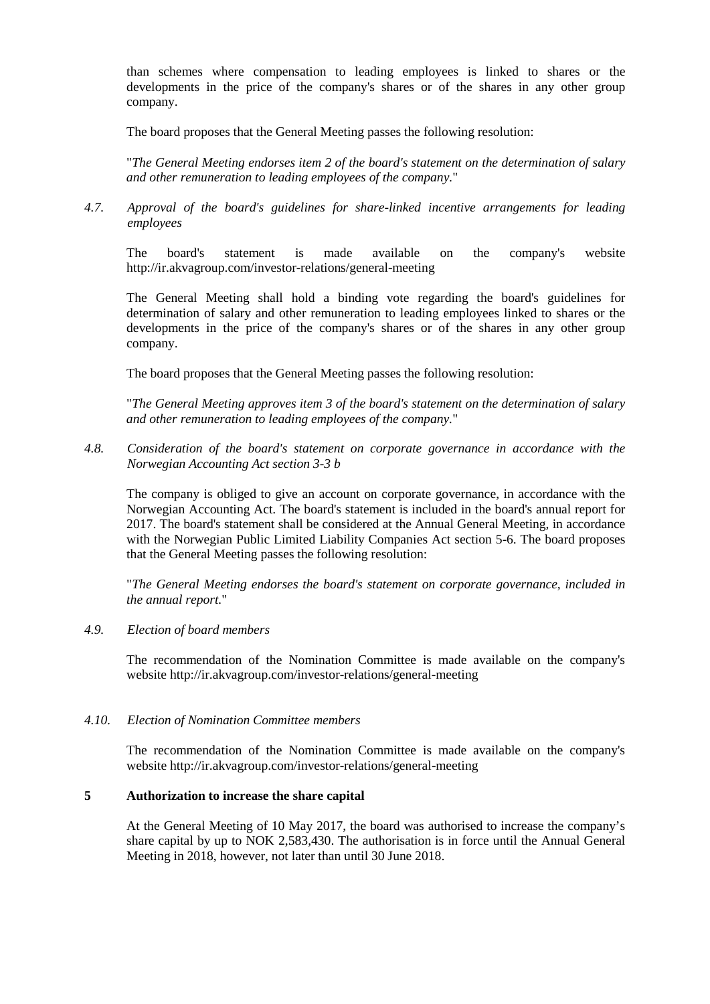than schemes where compensation to leading employees is linked to shares or the developments in the price of the company's shares or of the shares in any other group company.

The board proposes that the General Meeting passes the following resolution:

"*The General Meeting endorses item 2 of the board's statement on the determination of salary and other remuneration to leading employees of the company.*"

*4.7. Approval of the board's guidelines for share-linked incentive arrangements for leading employees*

The board's statement is made available on the company's website <http://ir.akvagroup.com/investor-relations/general-meeting>

The General Meeting shall hold a binding vote regarding the board's guidelines for determination of salary and other remuneration to leading employees linked to shares or the developments in the price of the company's shares or of the shares in any other group company.

The board proposes that the General Meeting passes the following resolution:

"*The General Meeting approves item 3 of the board's statement on the determination of salary and other remuneration to leading employees of the company.*"

*4.8. Consideration of the board's statement on corporate governance in accordance with the Norwegian Accounting Act section 3-3 b*

The company is obliged to give an account on corporate governance, in accordance with the Norwegian Accounting Act. The board's statement is included in the board's annual report for 2017. The board's statement shall be considered at the Annual General Meeting, in accordance with the Norwegian Public Limited Liability Companies Act section 5-6. The board proposes that the General Meeting passes the following resolution:

"*The General Meeting endorses the board's statement on corporate governance, included in the annual report.*"

### *4.9. Election of board members*

The recommendation of the Nomination Committee is made available on the company's website<http://ir.akvagroup.com/investor-relations/general-meeting>

### *4.10. Election of Nomination Committee members*

The recommendation of the Nomination Committee is made available on the company's website<http://ir.akvagroup.com/investor-relations/general-meeting>

### **5 Authorization to increase the share capital**

At the General Meeting of 10 May 2017, the board was authorised to increase the company's share capital by up to NOK 2,583,430. The authorisation is in force until the Annual General Meeting in 2018, however, not later than until 30 June 2018.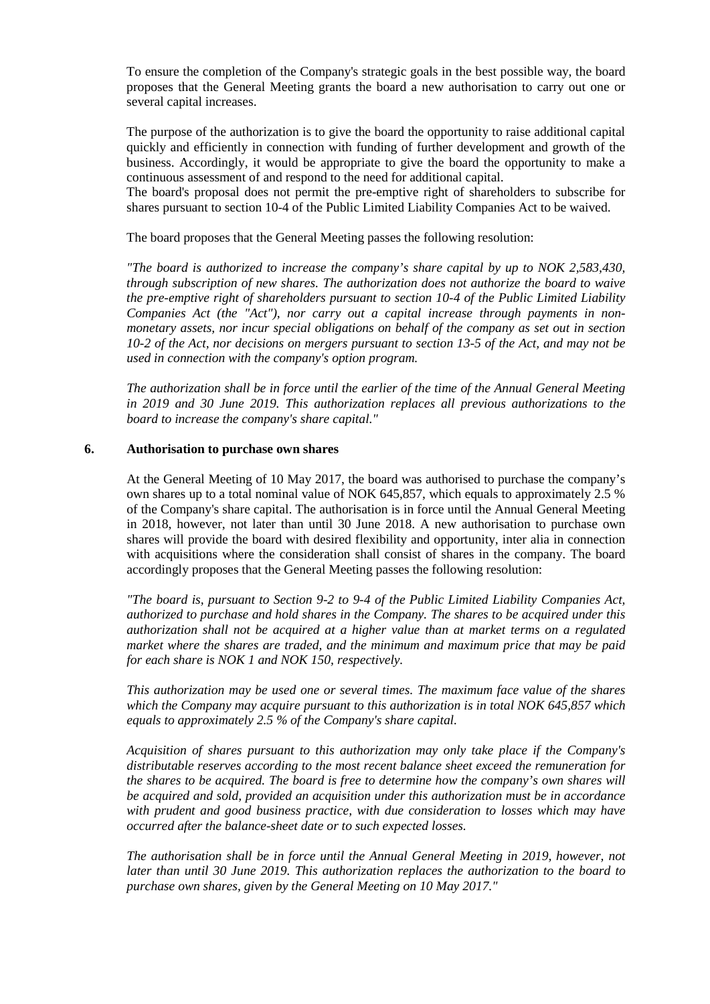To ensure the completion of the Company's strategic goals in the best possible way, the board proposes that the General Meeting grants the board a new authorisation to carry out one or several capital increases.

The purpose of the authorization is to give the board the opportunity to raise additional capital quickly and efficiently in connection with funding of further development and growth of the business. Accordingly, it would be appropriate to give the board the opportunity to make a continuous assessment of and respond to the need for additional capital.

The board's proposal does not permit the pre-emptive right of shareholders to subscribe for shares pursuant to section 10-4 of the Public Limited Liability Companies Act to be waived.

The board proposes that the General Meeting passes the following resolution:

*"The board is authorized to increase the company's share capital by up to NOK 2,583,430, through subscription of new shares. The authorization does not authorize the board to waive the pre-emptive right of shareholders pursuant to section 10-4 of the Public Limited Liability Companies Act (the "Act"), nor carry out a capital increase through payments in nonmonetary assets, nor incur special obligations on behalf of the company as set out in section 10-2 of the Act, nor decisions on mergers pursuant to section 13-5 of the Act, and may not be used in connection with the company's option program.*

*The authorization shall be in force until the earlier of the time of the Annual General Meeting in 2019 and 30 June 2019. This authorization replaces all previous authorizations to the board to increase the company's share capital."*

### **6. Authorisation to purchase own shares**

At the General Meeting of 10 May 2017, the board was authorised to purchase the company's own shares up to a total nominal value of NOK 645,857, which equals to approximately 2.5 % of the Company's share capital. The authorisation is in force until the Annual General Meeting in 2018, however, not later than until 30 June 2018. A new authorisation to purchase own shares will provide the board with desired flexibility and opportunity, inter alia in connection with acquisitions where the consideration shall consist of shares in the company. The board accordingly proposes that the General Meeting passes the following resolution:

*"The board is, pursuant to Section 9-2 to 9-4 of the Public Limited Liability Companies Act, authorized to purchase and hold shares in the Company. The shares to be acquired under this authorization shall not be acquired at a higher value than at market terms on a regulated market where the shares are traded, and the minimum and maximum price that may be paid for each share is NOK 1 and NOK 150, respectively.*

*This authorization may be used one or several times. The maximum face value of the shares which the Company may acquire pursuant to this authorization is in total NOK 645,857 which equals to approximately 2.5 % of the Company's share capital.*

*Acquisition of shares pursuant to this authorization may only take place if the Company's distributable reserves according to the most recent balance sheet exceed the remuneration for the shares to be acquired. The board is free to determine how the company's own shares will be acquired and sold, provided an acquisition under this authorization must be in accordance with prudent and good business practice, with due consideration to losses which may have occurred after the balance-sheet date or to such expected losses.*

*The authorisation shall be in force until the Annual General Meeting in 2019, however, not later than until 30 June 2019. This authorization replaces the authorization to the board to purchase own shares, given by the General Meeting on 10 May 2017."*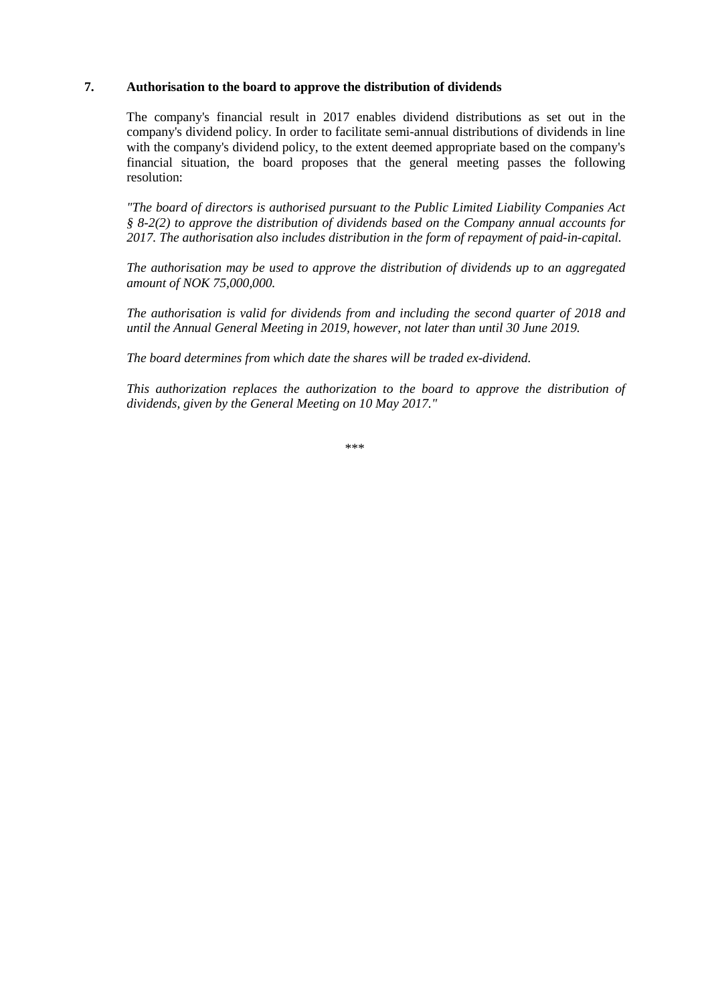# **7. Authorisation to the board to approve the distribution of dividends**

The company's financial result in 2017 enables dividend distributions as set out in the company's dividend policy. In order to facilitate semi-annual distributions of dividends in line with the company's dividend policy, to the extent deemed appropriate based on the company's financial situation, the board proposes that the general meeting passes the following resolution:

*"The board of directors is authorised pursuant to the Public Limited Liability Companies Act § 8-2(2) to approve the distribution of dividends based on the Company annual accounts for 2017. The authorisation also includes distribution in the form of repayment of paid-in-capital.* 

*The authorisation may be used to approve the distribution of dividends up to an aggregated amount of NOK 75,000,000.*

*The authorisation is valid for dividends from and including the second quarter of 2018 and until the Annual General Meeting in 2019, however, not later than until 30 June 2019.*

*The board determines from which date the shares will be traded ex-dividend.* 

*This authorization replaces the authorization to the board to approve the distribution of dividends, given by the General Meeting on 10 May 2017."*

\*\*\*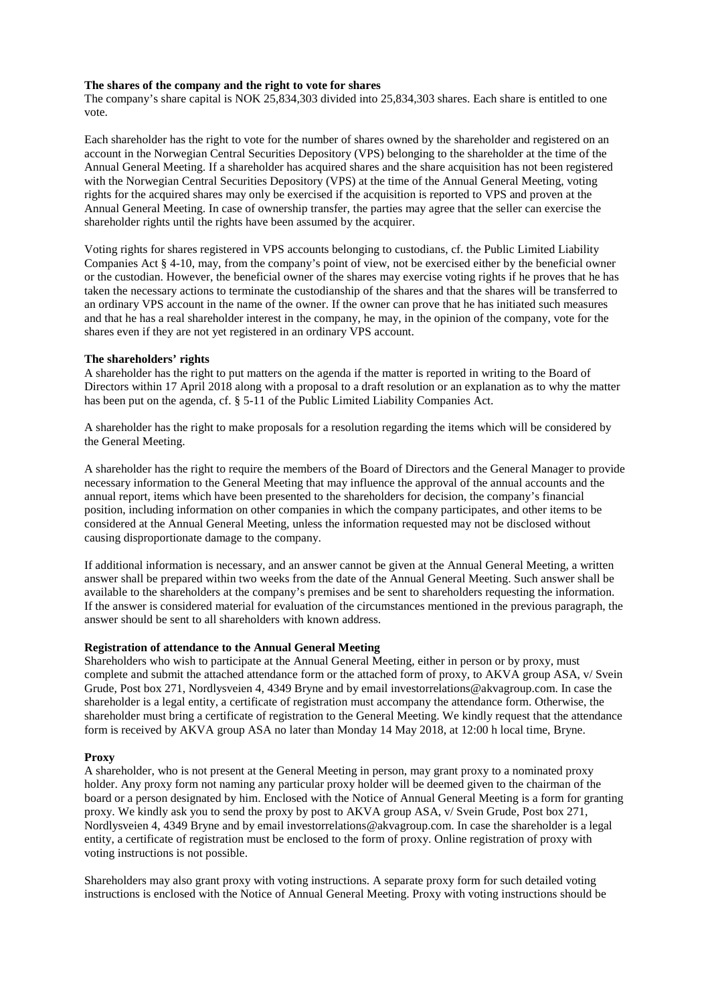#### **The shares of the company and the right to vote for shares**

The company's share capital is NOK 25,834,303 divided into 25,834,303 shares. Each share is entitled to one vote.

Each shareholder has the right to vote for the number of shares owned by the shareholder and registered on an account in the Norwegian Central Securities Depository (VPS) belonging to the shareholder at the time of the Annual General Meeting. If a shareholder has acquired shares and the share acquisition has not been registered with the Norwegian Central Securities Depository (VPS) at the time of the Annual General Meeting, voting rights for the acquired shares may only be exercised if the acquisition is reported to VPS and proven at the Annual General Meeting. In case of ownership transfer, the parties may agree that the seller can exercise the shareholder rights until the rights have been assumed by the acquirer.

Voting rights for shares registered in VPS accounts belonging to custodians, cf. the Public Limited Liability Companies Act § 4-10, may, from the company's point of view, not be exercised either by the beneficial owner or the custodian. However, the beneficial owner of the shares may exercise voting rights if he proves that he has taken the necessary actions to terminate the custodianship of the shares and that the shares will be transferred to an ordinary VPS account in the name of the owner. If the owner can prove that he has initiated such measures and that he has a real shareholder interest in the company, he may, in the opinion of the company, vote for the shares even if they are not yet registered in an ordinary VPS account.

#### **The shareholders' rights**

A shareholder has the right to put matters on the agenda if the matter is reported in writing to the Board of Directors within 17 April 2018 along with a proposal to a draft resolution or an explanation as to why the matter has been put on the agenda, cf. § 5-11 of the Public Limited Liability Companies Act.

A shareholder has the right to make proposals for a resolution regarding the items which will be considered by the General Meeting.

A shareholder has the right to require the members of the Board of Directors and the General Manager to provide necessary information to the General Meeting that may influence the approval of the annual accounts and the annual report, items which have been presented to the shareholders for decision, the company's financial position, including information on other companies in which the company participates, and other items to be considered at the Annual General Meeting, unless the information requested may not be disclosed without causing disproportionate damage to the company.

If additional information is necessary, and an answer cannot be given at the Annual General Meeting, a written answer shall be prepared within two weeks from the date of the Annual General Meeting. Such answer shall be available to the shareholders at the company's premises and be sent to shareholders requesting the information. If the answer is considered material for evaluation of the circumstances mentioned in the previous paragraph, the answer should be sent to all shareholders with known address.

#### **Registration of attendance to the Annual General Meeting**

Shareholders who wish to participate at the Annual General Meeting, either in person or by proxy, must complete and submit the attached attendance form or the attached form of proxy, to AKVA group ASA, v/ Svein Grude, Post box 271, Nordlysveien 4, 4349 Bryne and by email investorrelations@akvagroup.com. In case the shareholder is a legal entity, a certificate of registration must accompany the attendance form. Otherwise, the shareholder must bring a certificate of registration to the General Meeting. We kindly request that the attendance form is received by AKVA group ASA no later than Monday 14 May 2018, at 12:00 h local time, Bryne.

#### **Proxy**

A shareholder, who is not present at the General Meeting in person, may grant proxy to a nominated proxy holder. Any proxy form not naming any particular proxy holder will be deemed given to the chairman of the board or a person designated by him. Enclosed with the Notice of Annual General Meeting is a form for granting proxy. We kindly ask you to send the proxy by post to AKVA group ASA, v/ Svein Grude, Post box 271, Nordlysveien 4, 4349 Bryne and by email investorrelations@akvagroup.com. In case the shareholder is a legal entity, a certificate of registration must be enclosed to the form of proxy. Online registration of proxy with voting instructions is not possible.

Shareholders may also grant proxy with voting instructions. A separate proxy form for such detailed voting instructions is enclosed with the Notice of Annual General Meeting. Proxy with voting instructions should be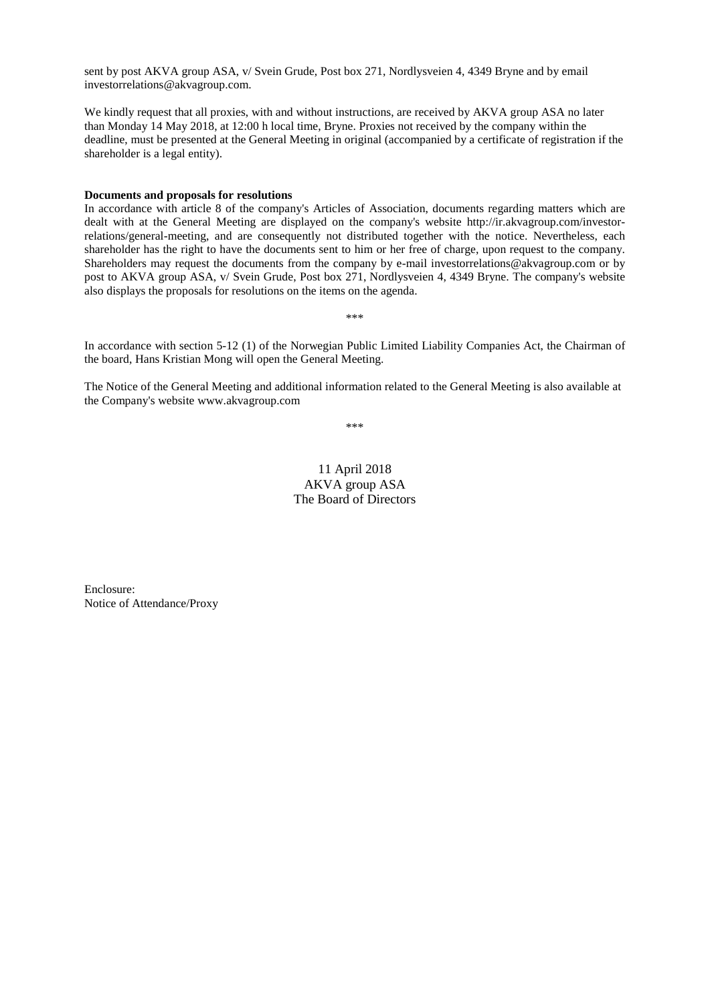sent by post AKVA group ASA, v/ Svein Grude, Post box 271, Nordlysveien 4, 4349 Bryne and by email investorrelations@akvagroup.com.

We kindly request that all proxies, with and without instructions, are received by AKVA group ASA no later than Monday 14 May 2018, at 12:00 h local time, Bryne. Proxies not received by the company within the deadline, must be presented at the General Meeting in original (accompanied by a certificate of registration if the shareholder is a legal entity).

#### **Documents and proposals for resolutions**

In accordance with article 8 of the company's Articles of Association, documents regarding matters which are dealt with at the General Meeting are displayed on the company's website [http://ir.akvagroup.com/investor](http://ir.akvagroup.com/investor-relations/general-meeting)[relations/general-meeting,](http://ir.akvagroup.com/investor-relations/general-meeting) and are consequently not distributed together with the notice. Nevertheless, each shareholder has the right to have the documents sent to him or her free of charge, upon request to the company. Shareholders may request the documents from the company by e-mail investorrelations@akvagroup.com or by post to AKVA group ASA, v/ Svein Grude, Post box 271, Nordlysveien 4, 4349 Bryne. The company's website also displays the proposals for resolutions on the items on the agenda.

In accordance with section 5-12 (1) of the Norwegian Public Limited Liability Companies Act, the Chairman of the board, Hans Kristian Mong will open the General Meeting.

\*\*\*

The Notice of the General Meeting and additional information related to the General Meeting is also available at the Company's website www.akvagroup.com

\*\*\*

11 April 2018 AKVA group ASA The Board of Directors

Enclosure: Notice of Attendance/Proxy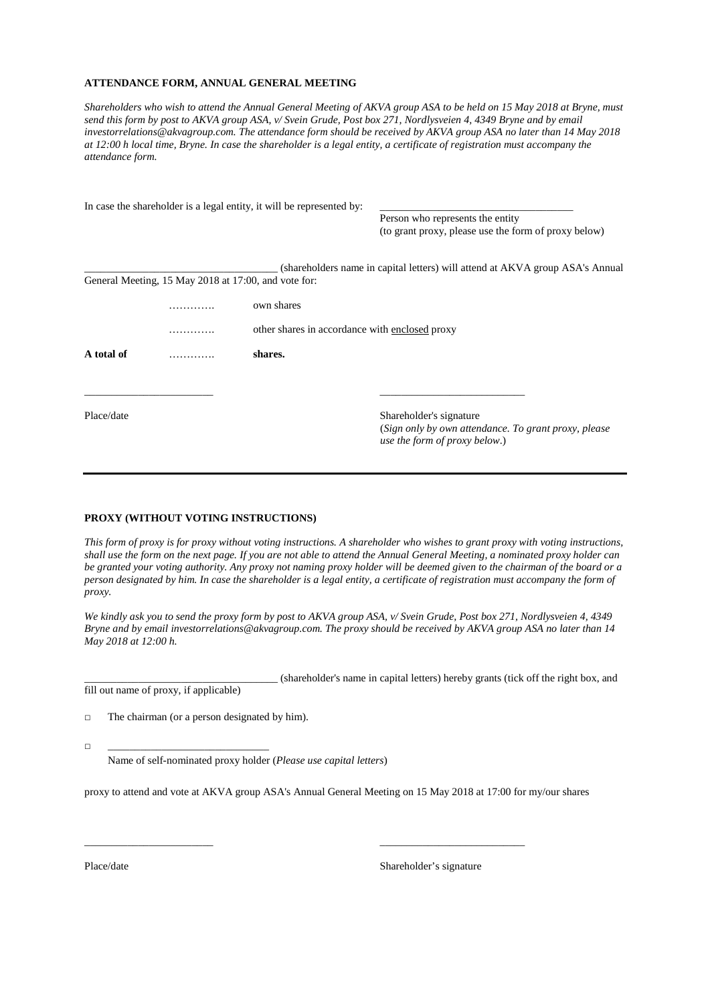#### **ATTENDANCE FORM, ANNUAL GENERAL MEETING**

*Shareholders who wish to attend the Annual General Meeting of AKVA group ASA to be held on 15 May 2018 at Bryne, must send this form by post to AKVA group ASA, v/ Svein Grude, Post box 271, Nordlysveien 4, 4349 Bryne and by email investorrelations@akvagroup.com. The attendance form should be received by AKVA group ASA no later than 14 May 2018 at 12:00 h local time, Bryne. In case the shareholder is a legal entity, a certificate of registration must accompany the attendance form.* 

|            |                                                      | In case the shareholder is a legal entity, it will be represented by: |                                                                                        |
|------------|------------------------------------------------------|-----------------------------------------------------------------------|----------------------------------------------------------------------------------------|
|            |                                                      |                                                                       | Person who represents the entity                                                       |
|            |                                                      |                                                                       | (to grant proxy, please use the form of proxy below)                                   |
|            |                                                      |                                                                       | (shareholders name in capital letters) will attend at AKVA group ASA's Annual          |
|            | General Meeting, 15 May 2018 at 17:00, and vote for: |                                                                       |                                                                                        |
|            |                                                      | own shares                                                            |                                                                                        |
|            | .                                                    | other shares in accordance with enclosed proxy                        |                                                                                        |
| A total of |                                                      | shares.                                                               |                                                                                        |
|            |                                                      |                                                                       |                                                                                        |
| Place/date |                                                      |                                                                       | Shareholder's signature                                                                |
|            |                                                      |                                                                       | (Sign only by own attendance. To grant proxy, please)<br>use the form of proxy below.) |
|            |                                                      |                                                                       |                                                                                        |

#### **PROXY (WITHOUT VOTING INSTRUCTIONS)**

*This form of proxy is for proxy without voting instructions. A shareholder who wishes to grant proxy with voting instructions, shall use the form on the next page. If you are not able to attend the Annual General Meeting, a nominated proxy holder can be granted your voting authority. Any proxy not naming proxy holder will be deemed given to the chairman of the board or a person designated by him. In case the shareholder is a legal entity, a certificate of registration must accompany the form of proxy.*

*We kindly ask you to send the proxy form by post to AKVA group ASA, v/ Svein Grude, Post box 271, Nordlysveien 4, 4349 Bryne and by email investorrelations@akvagroup.com. The proxy should be received by AKVA group ASA no later than 14 May 2018 at 12:00 h.*

\_\_\_\_\_\_\_\_\_\_\_\_\_\_\_\_\_\_\_\_\_\_\_\_\_\_\_\_\_\_\_\_\_\_\_\_ (shareholder's name in capital letters) hereby grants (tick off the right box, and fill out name of proxy, if applicable)

 $\Box$  The chairman (or a person designated by him).

□ \_\_\_\_\_\_\_\_\_\_\_\_\_\_\_\_\_\_\_\_\_\_\_\_\_\_\_\_\_\_

Name of self-nominated proxy holder (*Please use capital letters*)

proxy to attend and vote at AKVA group ASA's Annual General Meeting on 15 May 2018 at 17:00 for my/our shares

\_\_\_\_\_\_\_\_\_\_\_\_\_\_\_\_\_\_\_\_\_\_\_\_ \_\_\_\_\_\_\_\_\_\_\_\_\_\_\_\_\_\_\_\_\_\_\_\_\_\_\_

Place/date Shareholder's signature